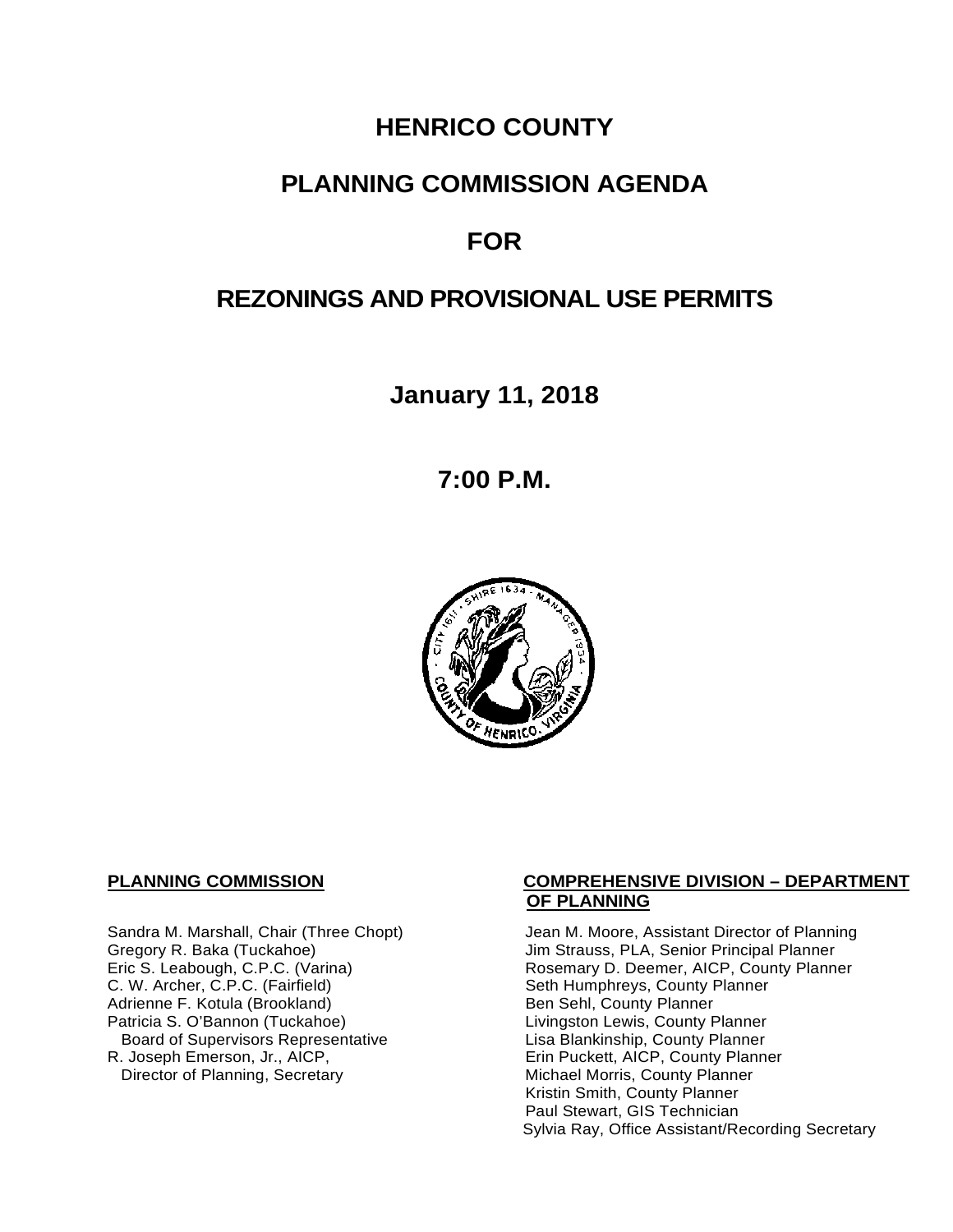# **HENRICO COUNTY**

# **PLANNING COMMISSION AGENDA**

# **FOR**

# **REZONINGS AND PROVISIONAL USE PERMITS**

**January 11, 2018**

**7:00 P.M.**



C. W. Archer, C.P.C. (Fairfield) Seth Humphreys, County I<br>Adrienne F. Kotula (Brookland) Seth Sehl, County Planner Adrienne F. Kotula (Brookland)<br>Patricia S. O'Bannon (Tuckahoe) Board of Supervisors Representative Lisa Blankinship, County Planner<br>R. Joseph Emerson, Jr., AICP, Lanner Erin Puckett, AICP, County Plann A Joseph Emerson, Jr., AICP, The Manuscription of Erin Puckett, AICP, County Planner<br>
Director of Planning, Secretary The Michael Morris, County Planner

#### **PLANNING COMMISSION COMPREHENSIVE DIVISION – DEPARTMENT OF PLANNING**

Sandra M. Marshall, Chair (Three Chopt) Jean M. Moore, Assistant Director of Planning<br>Gregory R. Baka (Tuckahoe) Jim Strauss, PLA, Senior Principal Planner Gregory R. Baka (Tuckahoe) **Jim Strauss, PLA, Senior Principal Planner**<br>
Eric S. Leabough, C.P.C. (Varina) **Canal Planner Rosemary D. Deemer, AICP, County Planner** Rosemary D. Deemer, AICP, County Planner<br>Seth Humphreys, County Planner Livingston Lewis, County Planner Michael Morris, County Planner Kristin Smith, County Planner Paul Stewart, GIS Technician Sylvia Ray, Office Assistant/Recording Secretary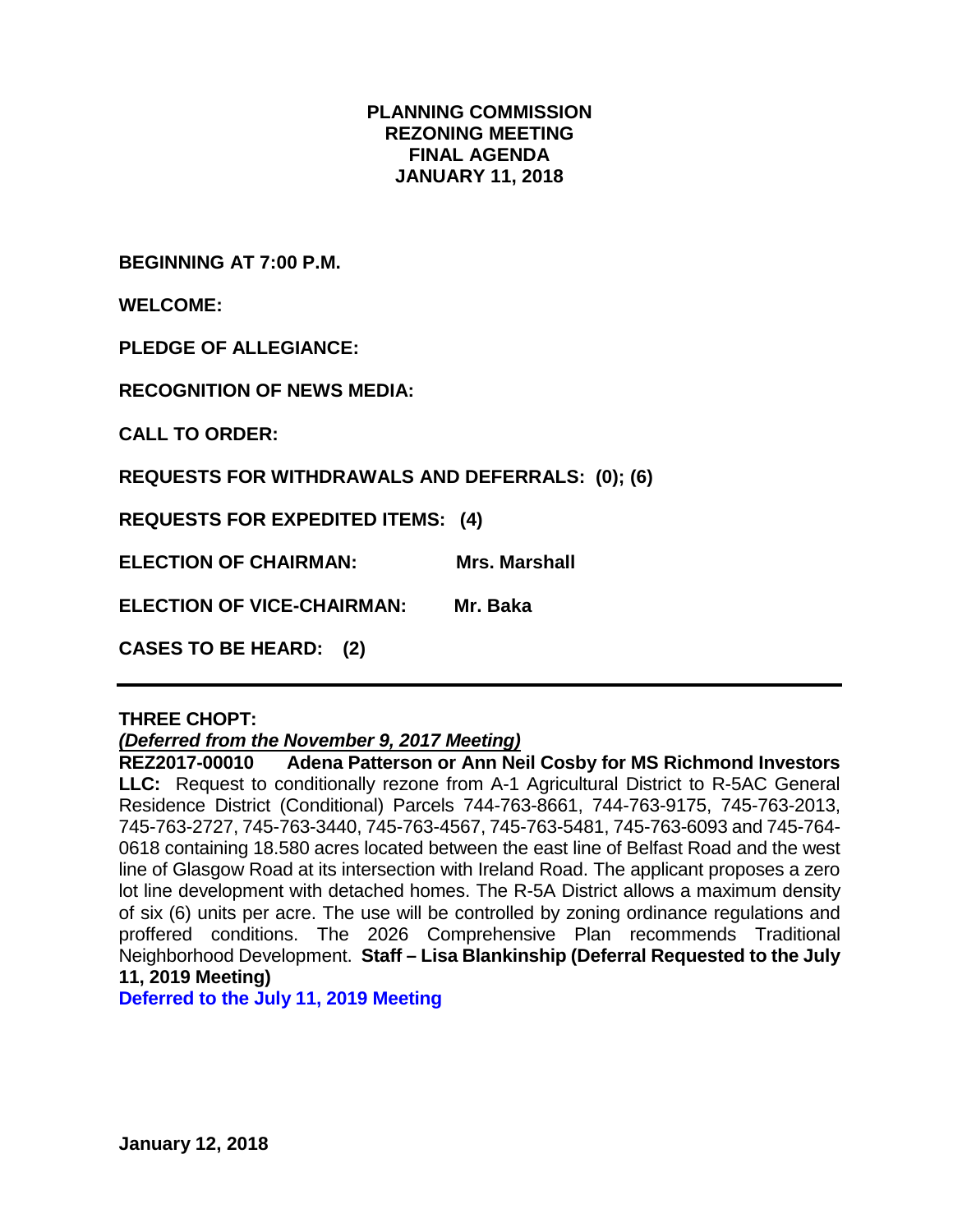## **PLANNING COMMISSION REZONING MEETING FINAL AGENDA JANUARY 11, 2018**

**BEGINNING AT 7:00 P.M.**

**WELCOME:**

**PLEDGE OF ALLEGIANCE:**

**RECOGNITION OF NEWS MEDIA:**

**CALL TO ORDER:**

**REQUESTS FOR WITHDRAWALS AND DEFERRALS: (0); (6)**

**REQUESTS FOR EXPEDITED ITEMS: (4)**

**ELECTION OF CHAIRMAN: Mrs. Marshall** 

**ELECTION OF VICE-CHAIRMAN: Mr. Baka**

**CASES TO BE HEARD: (2)**

### **THREE CHOPT:**

#### *(Deferred from the November 9, 2017 Meeting)*

**REZ2017-00010 Adena Patterson or Ann Neil Cosby for MS Richmond Investors LLC:** Request to conditionally rezone from A-1 Agricultural District to R-5AC General Residence District (Conditional) Parcels 744-763-8661, 744-763-9175, 745-763-2013, 745-763-2727, 745-763-3440, 745-763-4567, 745-763-5481, 745-763-6093 and 745-764- 0618 containing 18.580 acres located between the east line of Belfast Road and the west line of Glasgow Road at its intersection with Ireland Road. The applicant proposes a zero lot line development with detached homes. The R-5A District allows a maximum density of six (6) units per acre. The use will be controlled by zoning ordinance regulations and proffered conditions. The 2026 Comprehensive Plan recommends Traditional Neighborhood Development. **Staff – Lisa Blankinship (Deferral Requested to the July 11, 2019 Meeting)**

**Deferred to the July 11, 2019 Meeting**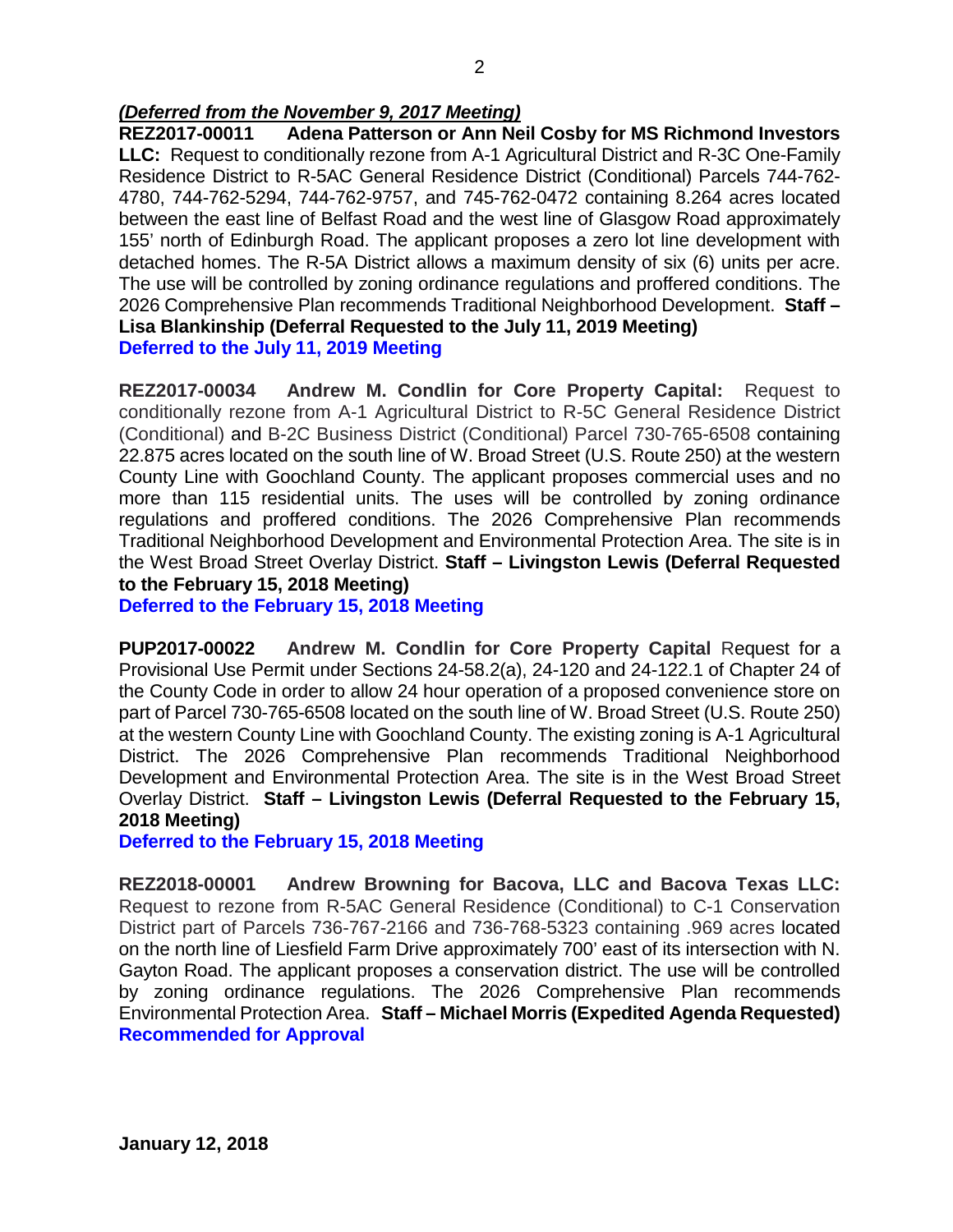## *(Deferred from the November 9, 2017 Meeting)*

**REZ2017-00011 Adena Patterson or Ann Neil Cosby for MS Richmond Investors LLC:** Request to conditionally rezone from A-1 Agricultural District and R-3C One-Family Residence District to R-5AC General Residence District (Conditional) Parcels 744-762- 4780, 744-762-5294, 744-762-9757, and 745-762-0472 containing 8.264 acres located between the east line of Belfast Road and the west line of Glasgow Road approximately 155' north of Edinburgh Road. The applicant proposes a zero lot line development with detached homes. The R-5A District allows a maximum density of six (6) units per acre. The use will be controlled by zoning ordinance regulations and proffered conditions. The 2026 Comprehensive Plan recommends Traditional Neighborhood Development. **Staff – Lisa Blankinship (Deferral Requested to the July 11, 2019 Meeting) Deferred to the July 11, 2019 Meeting**

**REZ2017-00034 Andrew M. Condlin for Core Property Capital:** Request to conditionally rezone from A-1 Agricultural District to R-5C General Residence District (Conditional) and B-2C Business District (Conditional) Parcel 730-765-6508 containing 22.875 acres located on the south line of W. Broad Street (U.S. Route 250) at the western County Line with Goochland County. The applicant proposes commercial uses and no more than 115 residential units. The uses will be controlled by zoning ordinance regulations and proffered conditions. The 2026 Comprehensive Plan recommends Traditional Neighborhood Development and Environmental Protection Area. The site is in the West Broad Street Overlay District. **Staff – Livingston Lewis (Deferral Requested to the February 15, 2018 Meeting)**

**Deferred to the February 15, 2018 Meeting**

**PUP2017-00022 Andrew M. Condlin for Core Property Capital** Request for a Provisional Use Permit under Sections 24-58.2(a), 24-120 and 24-122.1 of Chapter 24 of the County Code in order to allow 24 hour operation of a proposed convenience store on part of Parcel 730-765-6508 located on the south line of W. Broad Street (U.S. Route 250) at the western County Line with Goochland County. The existing zoning is A-1 Agricultural District. The 2026 Comprehensive Plan recommends Traditional Neighborhood Development and Environmental Protection Area. The site is in the West Broad Street Overlay District. **Staff – Livingston Lewis (Deferral Requested to the February 15, 2018 Meeting)**

**Deferred to the February 15, 2018 Meeting**

**REZ2018-00001 Andrew Browning for Bacova, LLC and Bacova Texas LLC:**  Request to rezone from R-5AC General Residence (Conditional) to C-1 Conservation District part of Parcels 736-767-2166 and 736-768-5323 containing .969 acres located on the north line of Liesfield Farm Drive approximately 700' east of its intersection with N. Gayton Road. The applicant proposes a conservation district. The use will be controlled by zoning ordinance regulations. The 2026 Comprehensive Plan recommends Environmental Protection Area. **Staff – Michael Morris (Expedited Agenda Requested) Recommended for Approval**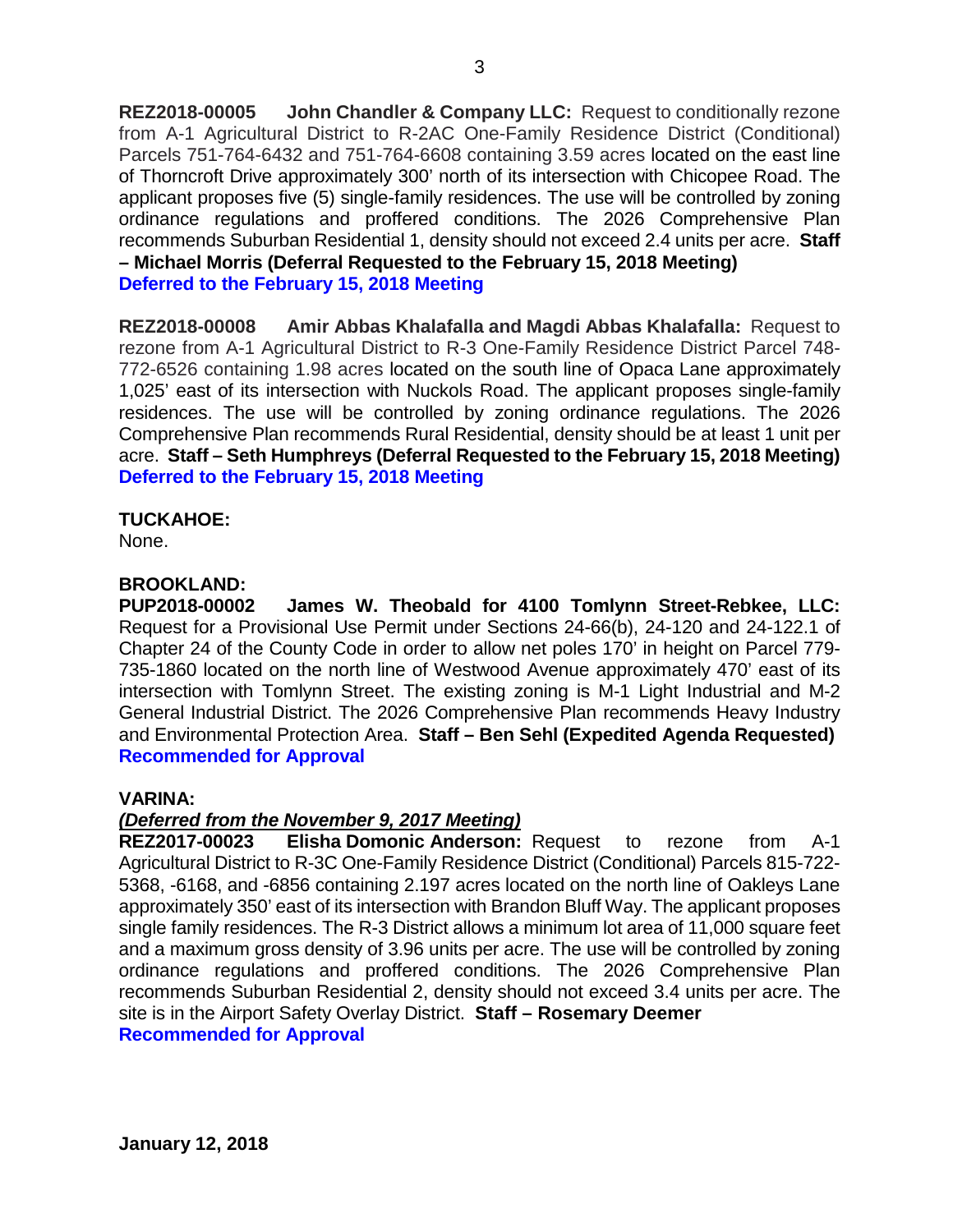**REZ2018-00005 John Chandler & Company LLC:** Request to conditionally rezone from A-1 Agricultural District to R-2AC One-Family Residence District (Conditional) Parcels 751-764-6432 and 751-764-6608 containing 3.59 acres located on the east line of Thorncroft Drive approximately 300' north of its intersection with Chicopee Road. The applicant proposes five (5) single-family residences. The use will be controlled by zoning ordinance regulations and proffered conditions. The 2026 Comprehensive Plan recommends Suburban Residential 1, density should not exceed 2.4 units per acre. **Staff – Michael Morris (Deferral Requested to the February 15, 2018 Meeting) Deferred to the February 15, 2018 Meeting**

**REZ2018-00008 Amir Abbas Khalafalla and Magdi Abbas Khalafalla:** Request to rezone from A-1 Agricultural District to R-3 One-Family Residence District Parcel 748- 772-6526 containing 1.98 acres located on the south line of Opaca Lane approximately 1,025' east of its intersection with Nuckols Road. The applicant proposes single-family residences. The use will be controlled by zoning ordinance regulations. The 2026 Comprehensive Plan recommends Rural Residential, density should be at least 1 unit per acre. **Staff – Seth Humphreys (Deferral Requested to the February 15, 2018 Meeting) Deferred to the February 15, 2018 Meeting**

**TUCKAHOE:**

None.

## **BROOKLAND:**

**PUP2018-00002 James W. Theobald for 4100 Tomlynn Street-Rebkee, LLC:**  Request for a Provisional Use Permit under Sections 24-66(b), 24-120 and 24-122.1 of Chapter 24 of the County Code in order to allow net poles 170' in height on Parcel 779- 735-1860 located on the north line of Westwood Avenue approximately 470' east of its intersection with Tomlynn Street. The existing zoning is M-1 Light Industrial and M-2 General Industrial District. The 2026 Comprehensive Plan recommends Heavy Industry and Environmental Protection Area. **Staff – Ben Sehl (Expedited Agenda Requested) Recommended for Approval**

#### **VARINA:**

## *(Deferred from the November 9, 2017 Meeting)*

**REZ2017-00023 Elisha Domonic Anderson:** Request to rezone from A-1 Agricultural District to R-3C One-Family Residence District (Conditional) Parcels 815-722- 5368, -6168, and -6856 containing 2.197 acres located on the north line of Oakleys Lane approximately 350' east of its intersection with Brandon Bluff Way. The applicant proposes single family residences. The R-3 District allows a minimum lot area of 11,000 square feet and a maximum gross density of 3.96 units per acre. The use will be controlled by zoning ordinance regulations and proffered conditions. The 2026 Comprehensive Plan recommends Suburban Residential 2, density should not exceed 3.4 units per acre. The site is in the Airport Safety Overlay District. **Staff – Rosemary Deemer Recommended for Approval**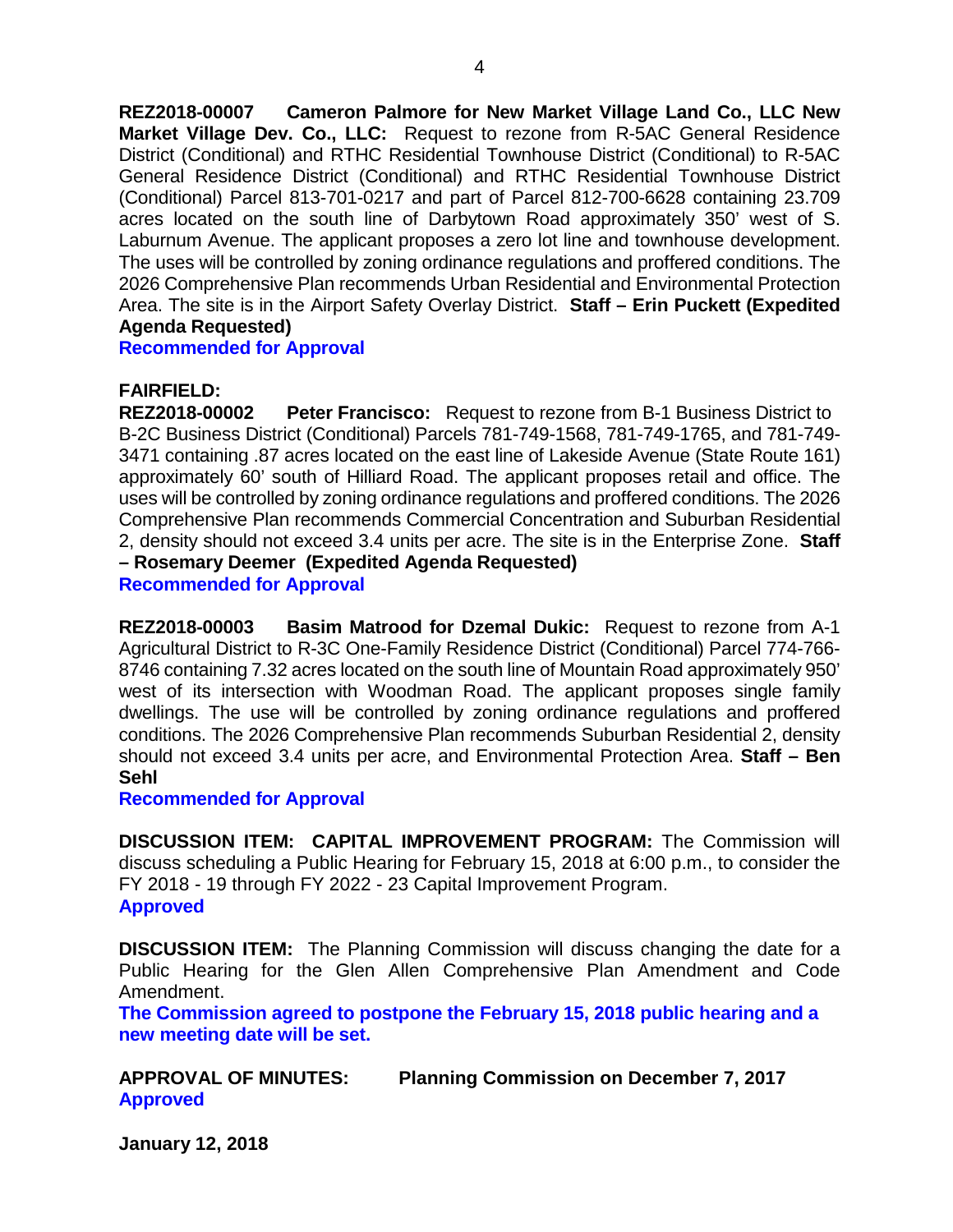**REZ2018-00007 Cameron Palmore for New Market Village Land Co., LLC New Market Village Dev. Co., LLC:** Request to rezone from R-5AC General Residence District (Conditional) and RTHC Residential Townhouse District (Conditional) to R-5AC General Residence District (Conditional) and RTHC Residential Townhouse District (Conditional) Parcel 813-701-0217 and part of Parcel 812-700-6628 containing 23.709 acres located on the south line of Darbytown Road approximately 350' west of S. Laburnum Avenue. The applicant proposes a zero lot line and townhouse development. The uses will be controlled by zoning ordinance regulations and proffered conditions. The 2026 Comprehensive Plan recommends Urban Residential and Environmental Protection Area. The site is in the Airport Safety Overlay District. **Staff – Erin Puckett (Expedited Agenda Requested)**

**Recommended for Approval**

#### **FAIRFIELD:**

**REZ2018-00002 Peter Francisco:** Request to rezone from B-1 Business District to B-2C Business District (Conditional) Parcels 781-749-1568, 781-749-1765, and 781-749- 3471 containing .87 acres located on the east line of Lakeside Avenue (State Route 161) approximately 60' south of Hilliard Road. The applicant proposes retail and office. The uses will be controlled by zoning ordinance regulations and proffered conditions. The 2026 Comprehensive Plan recommends Commercial Concentration and Suburban Residential 2, density should not exceed 3.4 units per acre. The site is in the Enterprise Zone. **Staff – Rosemary Deemer (Expedited Agenda Requested)**

**Recommended for Approval**

**REZ2018-00003 Basim Matrood for Dzemal Dukic:** Request to rezone from A-1 Agricultural District to R-3C One-Family Residence District (Conditional) Parcel 774-766- 8746 containing 7.32 acres located on the south line of Mountain Road approximately 950' west of its intersection with Woodman Road. The applicant proposes single family dwellings. The use will be controlled by zoning ordinance regulations and proffered conditions. The 2026 Comprehensive Plan recommends Suburban Residential 2, density should not exceed 3.4 units per acre, and Environmental Protection Area. **Staff – Ben Sehl**

**Recommended for Approval**

**DISCUSSION ITEM: CAPITAL IMPROVEMENT PROGRAM:** The Commission will discuss scheduling a Public Hearing for February 15, 2018 at 6:00 p.m., to consider the FY 2018 - 19 through FY 2022 - 23 Capital Improvement Program. **Approved**

**DISCUSSION ITEM:** The Planning Commission will discuss changing the date for a Public Hearing for the Glen Allen Comprehensive Plan Amendment and Code Amendment.

**The Commission agreed to postpone the February 15, 2018 public hearing and a new meeting date will be set.**

**APPROVAL OF MINUTES: Planning Commission on December 7, 2017 Approved**

**January 12, 2018**